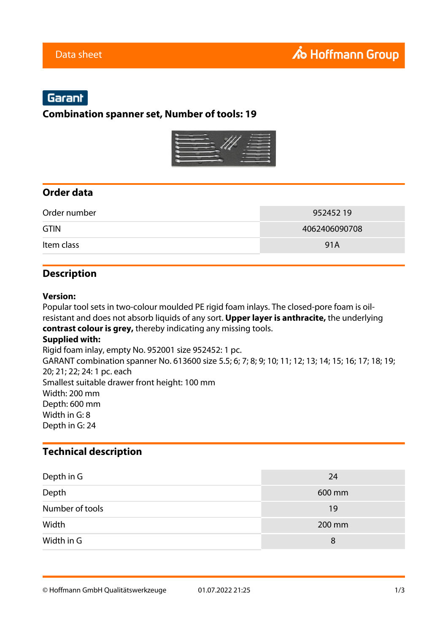## Garant

## **Combination spanner set, Number of tools: 19**



### **Order data**

| Order number | 952452 19     |
|--------------|---------------|
| <b>GTIN</b>  | 4062406090708 |
| Item class   | 91A           |

### **Description**

#### **Version:**

Popular tool sets in two-colour moulded PE rigid foam inlays. The closed-pore foam is oilresistant and does not absorb liquids of any sort. **Upper layer is anthracite,** the underlying **contrast colour is grey,** thereby indicating any missing tools.

#### **Supplied with:**

Rigid foam inlay, empty No. 952001 size 952452: 1 pc. GARANT combination spanner No. 613600 size 5.5; 6; 7; 8; 9; 10; 11; 12; 13; 14; 15; 16; 17; 18; 19; 20; 21; 22; 24: 1 pc. each Smallest suitable drawer front height: 100 mm Width: 200 mm Depth: 600 mm Width in G: 8 Depth in G: 24

### **Technical description**

| Depth in G      | 24     |
|-----------------|--------|
| Depth           | 600 mm |
| Number of tools | 19     |
| Width           | 200 mm |
| Width in G      | 8      |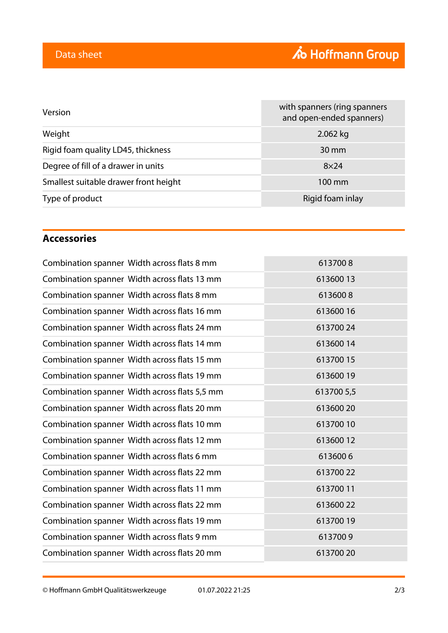|                                                       | with spanners (ring spanners<br>and open-ended spanners) |
|-------------------------------------------------------|----------------------------------------------------------|
| Weight<br>2.062 kg                                    |                                                          |
| Rigid foam quality LD45, thickness<br>$30 \text{ mm}$ |                                                          |
| Degree of fill of a drawer in units<br>$8\times24$    |                                                          |
| Smallest suitable drawer front height<br>100 mm       |                                                          |
| Type of product<br>Rigid foam inlay                   |                                                          |

### **Accessories**

| Combination spanner Width across flats 8 mm   | 6137008    |
|-----------------------------------------------|------------|
| Combination spanner Width across flats 13 mm  | 61360013   |
| Combination spanner Width across flats 8 mm   | 6136008    |
| Combination spanner Width across flats 16 mm  | 61360016   |
| Combination spanner Width across flats 24 mm  | 61370024   |
| Combination spanner Width across flats 14 mm  | 61360014   |
| Combination spanner Width across flats 15 mm  | 61370015   |
| Combination spanner Width across flats 19 mm  | 61360019   |
| Combination spanner Width across flats 5,5 mm | 613700 5,5 |
| Combination spanner Width across flats 20 mm  | 61360020   |
| Combination spanner Width across flats 10 mm  | 61370010   |
| Combination spanner Width across flats 12 mm  | 61360012   |
| Combination spanner Width across flats 6 mm   | 6136006    |
| Combination spanner Width across flats 22 mm  | 61370022   |
| Combination spanner Width across flats 11 mm  | 61370011   |
| Combination spanner Width across flats 22 mm  | 61360022   |
| Combination spanner Width across flats 19 mm  | 61370019   |
| Combination spanner Width across flats 9 mm   | 6137009    |
| Combination spanner Width across flats 20 mm  | 613700 20  |